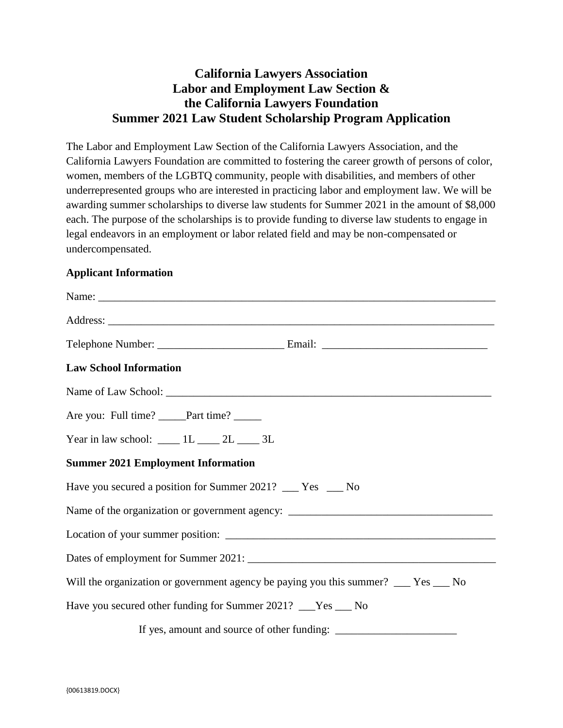## **California Lawyers Association Labor and Employment Law Section & the California Lawyers Foundation Summer 2021 Law Student Scholarship Program Application**

The Labor and Employment Law Section of the California Lawyers Association, and the California Lawyers Foundation are committed to fostering the career growth of persons of color, women, members of the LGBTQ community, people with disabilities, and members of other underrepresented groups who are interested in practicing labor and employment law. We will be awarding summer scholarships to diverse law students for Summer 2021 in the amount of \$8,000 each. The purpose of the scholarships is to provide funding to diverse law students to engage in legal endeavors in an employment or labor related field and may be non-compensated or undercompensated.

## **Applicant Information**

| <b>Law School Information</b>                                                               |
|---------------------------------------------------------------------------------------------|
|                                                                                             |
| Are you: Full time? _____Part time? _____                                                   |
| Year in law school: $\underline{\qquad}$ 1L $\underline{\qquad}$ 2L $\underline{\qquad}$ 3L |
| <b>Summer 2021 Employment Information</b>                                                   |
| Have you secured a position for Summer 2021? ___ Yes ___ No                                 |
|                                                                                             |
|                                                                                             |
|                                                                                             |
| Will the organization or government agency be paying you this summer? __ Yes __ No          |
| Have you secured other funding for Summer 2021? ___Yes ___ No                               |
|                                                                                             |